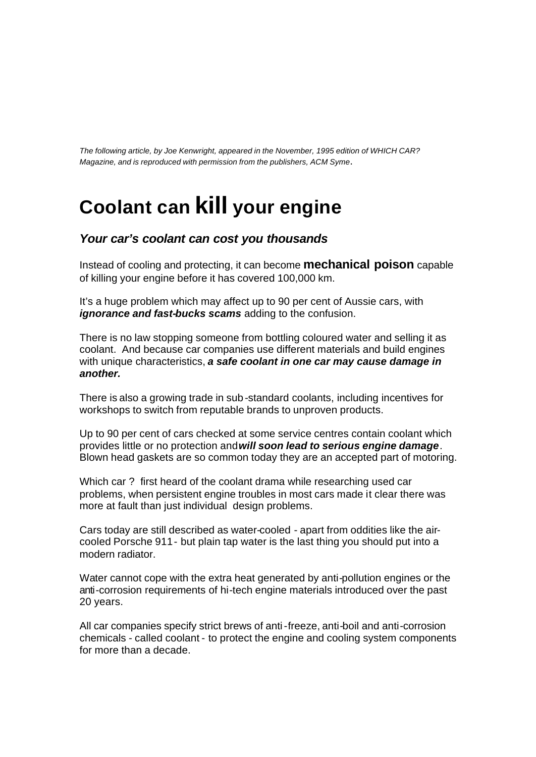*The following article, by Joe Kenwright, appeared in the November, 1995 edition of WHICH CAR? Magazine, and is reproduced with permission from the publishers, ACM Syme*.

## **Coolant can kill your engine**

## *Your car's coolant can cost you thousands*

Instead of cooling and protecting, it can become **mechanical poison** capable of killing your engine before it has covered 100,000 km.

It's a huge problem which may affect up to 90 per cent of Aussie cars, with *ignorance and fast-bucks scams* adding to the confusion.

There is no law stopping someone from bottling coloured water and selling it as coolant. And because car companies use different materials and build engines with unique characteristics, *a safe coolant in one car may cause damage in another.* 

There is also a growing trade in sub-standard coolants, including incentives for workshops to switch from reputable brands to unproven products.

Up to 90 per cent of cars checked at some service centres contain coolant which provides little or no protection and *will soon lead to serious engine damage*. Blown head gaskets are so common today they are an accepted part of motoring.

Which car ? first heard of the coolant drama while researching used car problems, when persistent engine troubles in most cars made it clear there was more at fault than just individual design problems.

Cars today are still described as water-cooled - apart from oddities like the aircooled Porsche 911 - but plain tap water is the last thing you should put into a modern radiator.

Water cannot cope with the extra heat generated by anti-pollution engines or the anti-corrosion requirements of hi-tech engine materials introduced over the past 20 years.

All car companies specify strict brews of anti-freeze, anti-boil and anti-corrosion chemicals - called coolant - to protect the engine and cooling system components for more than a decade.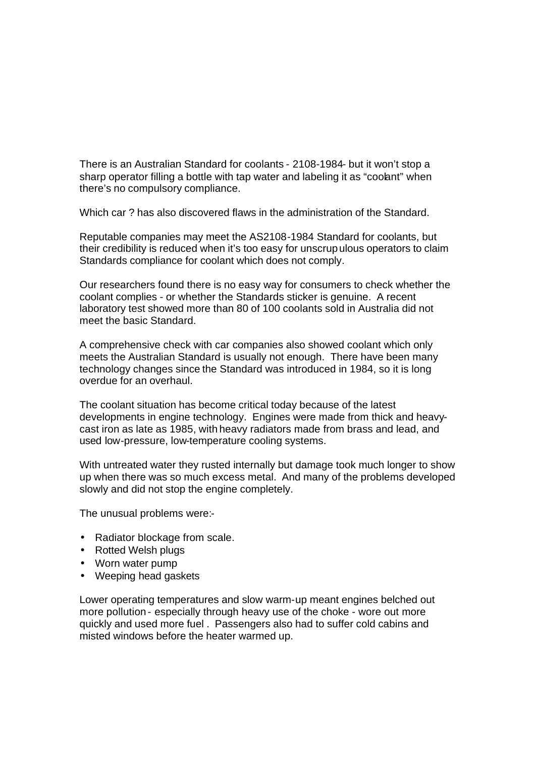There is an Australian Standard for coolants - 2108-1984- but it won't stop a sharp operator filling a bottle with tap water and labeling it as "coolant" when there's no compulsory compliance.

Which car ? has also discovered flaws in the administration of the Standard.

Reputable companies may meet the AS2108-1984 Standard for coolants, but their credibility is reduced when it's too easy for unscrupulous operators to claim Standards compliance for coolant which does not comply.

Our researchers found there is no easy way for consumers to check whether the coolant complies - or whether the Standards sticker is genuine. A recent laboratory test showed more than 80 of 100 coolants sold in Australia did not meet the basic Standard.

A comprehensive check with car companies also showed coolant which only meets the Australian Standard is usually not enough. There have been many technology changes since the Standard was introduced in 1984, so it is long overdue for an overhaul.

The coolant situation has become critical today because of the latest developments in engine technology. Engines were made from thick and heavycast iron as late as 1985, with heavy radiators made from brass and lead, and used low-pressure, low-temperature cooling systems.

With untreated water they rusted internally but damage took much longer to show up when there was so much excess metal. And many of the problems developed slowly and did not stop the engine completely.

The unusual problems were:-

- Radiator blockage from scale.
- Rotted Welsh plugs
- Worn water pump
- Weeping head gaskets

Lower operating temperatures and slow warm-up meant engines belched out more pollution- especially through heavy use of the choke - wore out more quickly and used more fuel . Passengers also had to suffer cold cabins and misted windows before the heater warmed up.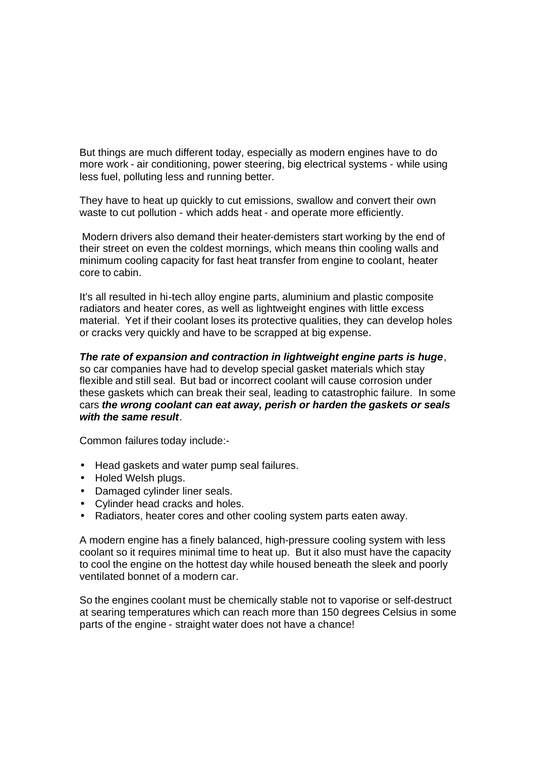But things are much different today, especially as modern engines have to do more work - air conditioning, power steering, big electrical systems - while using less fuel, polluting less and running better.

They have to heat up quickly to cut emissions, swallow and convert their own waste to cut pollution - which adds heat - and operate more efficiently.

 Modern drivers also demand their heater-demisters start working by the end of their street on even the coldest mornings, which means thin cooling walls and minimum cooling capacity for fast heat transfer from engine to coolant, heater core to cabin.

It's all resulted in hi-tech alloy engine parts, aluminium and plastic composite radiators and heater cores, as well as lightweight engines with little excess material. Yet if their coolant loses its protective qualities, they can develop holes or cracks very quickly and have to be scrapped at big expense.

*The rate of expansion and contraction in lightweight engine parts is huge*, so car companies have had to develop special gasket materials which stay flexible and still seal. But bad or incorrect coolant will cause corrosion under these gaskets which can break their seal, leading to catastrophic failure. In some cars *the wrong coolant can eat away, perish or harden the gaskets or seals with the same result*.

Common failures today include:-

- Head gaskets and water pump seal failures.
- Holed Welsh plugs.
- Damaged cylinder liner seals.
- Cylinder head cracks and holes.
- Radiators, heater cores and other cooling system parts eaten away.

A modern engine has a finely balanced, high-pressure cooling system with less coolant so it requires minimal time to heat up. But it also must have the capacity to cool the engine on the hottest day while housed beneath the sleek and poorly ventilated bonnet of a modern car.

So the engines coolant must be chemically stable not to vaporise or self-destruct at searing temperatures which can reach more than 150 degrees Celsius in some parts of the engine - straight water does not have a chance!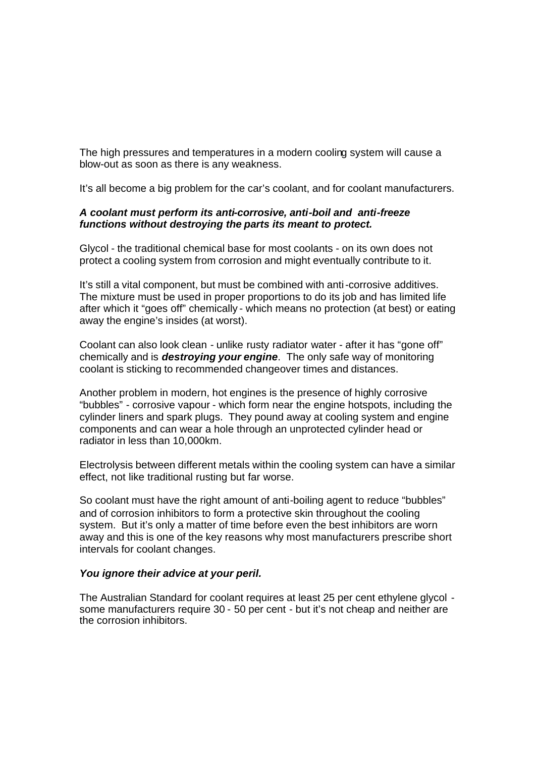The high pressures and temperatures in a modern cooling system will cause a blow-out as soon as there is any weakness.

It's all become a big problem for the car's coolant, and for coolant manufacturers.

## *A coolant must perform its anti-corrosive, anti-boil and anti-freeze functions without destroying the parts its meant to protect.*

Glycol - the traditional chemical base for most coolants - on its own does not protect a cooling system from corrosion and might eventually contribute to it.

It's still a vital component, but must be combined with anti-corrosive additives. The mixture must be used in proper proportions to do its job and has limited life after which it "goes off" chemically - which means no protection (at best) or eating away the engine's insides (at worst).

Coolant can also look clean - unlike rusty radiator water - after it has "gone off" chemically and is *destroying your engine*. The only safe way of monitoring coolant is sticking to recommended changeover times and distances.

Another problem in modern, hot engines is the presence of highly corrosive "bubbles" - corrosive vapour - which form near the engine hotspots, including the cylinder liners and spark plugs. They pound away at cooling system and engine components and can wear a hole through an unprotected cylinder head or radiator in less than 10,000km.

Electrolysis between different metals within the cooling system can have a similar effect, not like traditional rusting but far worse.

So coolant must have the right amount of anti-boiling agent to reduce "bubbles" and of corrosion inhibitors to form a protective skin throughout the cooling system. But it's only a matter of time before even the best inhibitors are worn away and this is one of the key reasons why most manufacturers prescribe short intervals for coolant changes.

## *You ignore their advice at your peril.*

The Australian Standard for coolant requires at least 25 per cent ethylene glycol some manufacturers require 30 - 50 per cent - but it's not cheap and neither are the corrosion inhibitors.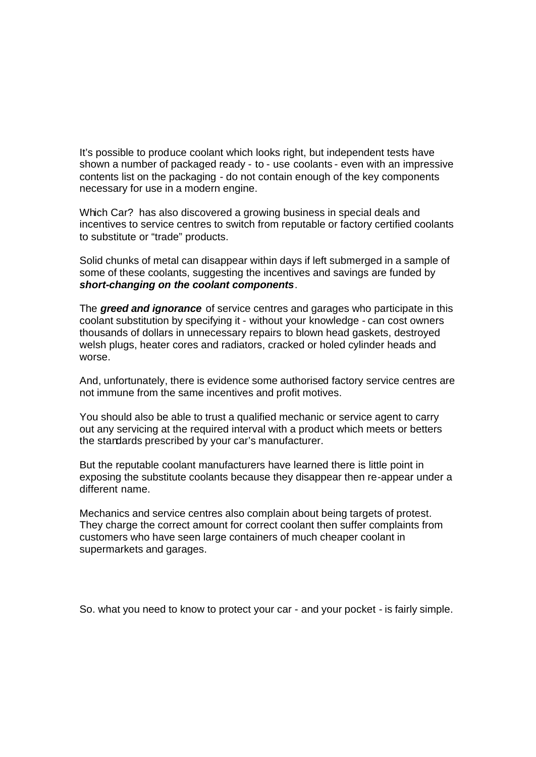It's possible to produce coolant which looks right, but independent tests have shown a number of packaged ready - to - use coolants - even with an impressive contents list on the packaging - do not contain enough of the key components necessary for use in a modern engine.

Which Car? has also discovered a growing business in special deals and incentives to service centres to switch from reputable or factory certified coolants to substitute or "trade" products.

Solid chunks of metal can disappear within days if left submerged in a sample of some of these coolants, suggesting the incentives and savings are funded by *short-changing on the coolant components*.

The *greed and ignorance* of service centres and garages who participate in this coolant substitution by specifying it - without your knowledge - can cost owners thousands of dollars in unnecessary repairs to blown head gaskets, destroyed welsh plugs, heater cores and radiators, cracked or holed cylinder heads and worse.

And, unfortunately, there is evidence some authorised factory service centres are not immune from the same incentives and profit motives.

You should also be able to trust a qualified mechanic or service agent to carry out any servicing at the required interval with a product which meets or betters the standards prescribed by your car's manufacturer.

But the reputable coolant manufacturers have learned there is little point in exposing the substitute coolants because they disappear then re-appear under a different name.

Mechanics and service centres also complain about being targets of protest. They charge the correct amount for correct coolant then suffer complaints from customers who have seen large containers of much cheaper coolant in supermarkets and garages.

So. what you need to know to protect your car - and your pocket - is fairly simple.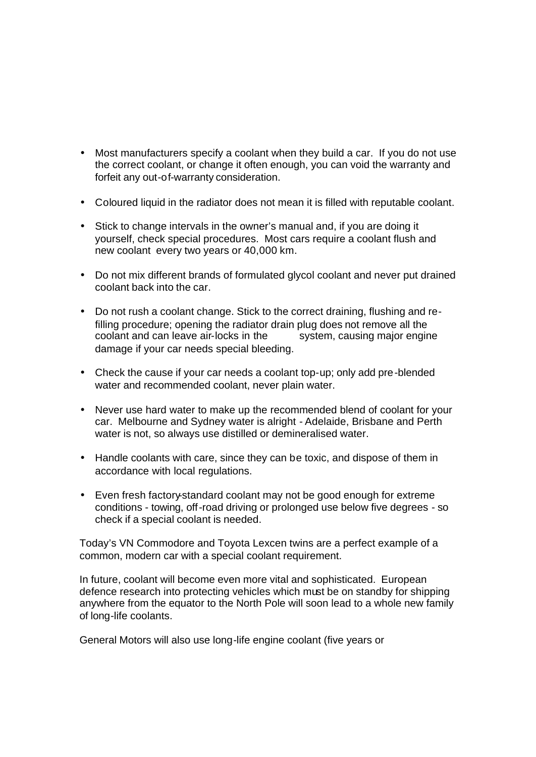- Most manufacturers specify a coolant when they build a car. If you do not use the correct coolant, or change it often enough, you can void the warranty and forfeit any out-of-warranty consideration.
- Coloured liquid in the radiator does not mean it is filled with reputable coolant.
- Stick to change intervals in the owner's manual and, if you are doing it yourself, check special procedures. Most cars require a coolant flush and new coolant every two years or 40,000 km.
- Do not mix different brands of formulated glycol coolant and never put drained coolant back into the car.
- Do not rush a coolant change. Stick to the correct draining, flushing and refilling procedure; opening the radiator drain plug does not remove all the coolant and can leave air-locks in the system, causing major engine damage if your car needs special bleeding.
- Check the cause if your car needs a coolant top-up; only add pre-blended water and recommended coolant, never plain water.
- Never use hard water to make up the recommended blend of coolant for your car. Melbourne and Sydney water is alright - Adelaide, Brisbane and Perth water is not, so always use distilled or demineralised water.
- Handle coolants with care, since they can be toxic, and dispose of them in accordance with local regulations.
- Even fresh factory-standard coolant may not be good enough for extreme conditions - towing, off-road driving or prolonged use below five degrees - so check if a special coolant is needed.

Today's VN Commodore and Toyota Lexcen twins are a perfect example of a common, modern car with a special coolant requirement.

In future, coolant will become even more vital and sophisticated. European defence research into protecting vehicles which must be on standby for shipping anywhere from the equator to the North Pole will soon lead to a whole new family of long-life coolants.

General Motors will also use long-life engine coolant (five years or